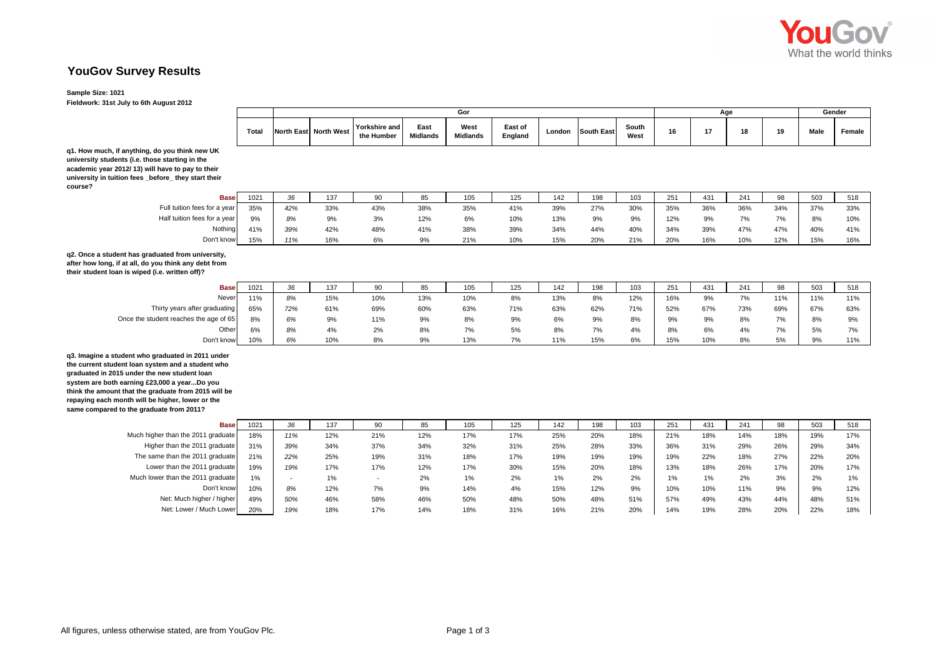

## **YouGov Survey Results**

## **Sample Size: 1021**

**Fieldwork: 31st July to 6th August 2012**

|                                                                                                                                                                                                                                                                                                                                                                |              | Gor                      |                       |                             |                         |                         |                    |        |                   |               |     | Age   | Gender |     |      |        |
|----------------------------------------------------------------------------------------------------------------------------------------------------------------------------------------------------------------------------------------------------------------------------------------------------------------------------------------------------------------|--------------|--------------------------|-----------------------|-----------------------------|-------------------------|-------------------------|--------------------|--------|-------------------|---------------|-----|-------|--------|-----|------|--------|
|                                                                                                                                                                                                                                                                                                                                                                | <b>Total</b> |                          | North East North West | Yorkshire and<br>the Humber | East<br><b>Midlands</b> | West<br><b>Midlands</b> | East of<br>England | London | <b>South East</b> | South<br>West | 16  | 17    | 18     | 19  | Male | Female |
| q1. How much, if anything, do you think new UK<br>university students (i.e. those starting in the<br>academic year 2012/13) will have to pay to their<br>university in tuition fees _before_ they start their<br>course?                                                                                                                                       |              |                          |                       |                             |                         |                         |                    |        |                   |               |     |       |        |     |      |        |
| <b>Base</b>                                                                                                                                                                                                                                                                                                                                                    | 1021         | 36                       | 137                   | 90                          | 85                      | 105                     | 125                | 142    | 198               | 103           | 251 | 431   | 241    | 98  | 503  | 518    |
| Full tuition fees for a year                                                                                                                                                                                                                                                                                                                                   | 35%          | 42%                      | 33%                   | 43%                         | 38%                     | 35%                     | 41%                | 39%    | 27%               | 30%           | 35% | 36%   | 36%    | 34% | 37%  | 33%    |
| Half tuition fees for a year                                                                                                                                                                                                                                                                                                                                   | 9%           | 8%                       | 9%                    | 3%                          | 12%                     | 6%                      | 10%                | 13%    | 9%                | 9%            | 12% | 9%    | 7%     | 7%  | 8%   | 10%    |
| Nothing                                                                                                                                                                                                                                                                                                                                                        | 41%          | 39%                      | 42%                   | 48%                         | 41%                     | 38%                     | 39%                | 34%    | 44%               | 40%           | 34% | 39%   | 47%    | 47% | 40%  | 41%    |
| Don't know                                                                                                                                                                                                                                                                                                                                                     | 15%          | 11%                      | 16%                   | 6%                          | 9%                      | 21%                     | 10%                | 15%    | 20%               | 21%           | 20% | 16%   | 10%    | 12% | 15%  | 16%    |
| q2. Once a student has graduated from university,<br>after how long, if at all, do you think any debt from<br>their student loan is wiped (i.e. written off)?                                                                                                                                                                                                  |              |                          |                       |                             |                         |                         |                    |        |                   |               |     |       |        |     |      |        |
| <b>Base</b>                                                                                                                                                                                                                                                                                                                                                    | 1021         | 36                       | 137                   | 90                          | 85                      | 105                     | 125                | 142    | 198               | 103           | 251 | 431   | 241    | 98  | 503  | 518    |
| Never                                                                                                                                                                                                                                                                                                                                                          | 11%          | 8%                       | 15%                   | 10%                         | 13%                     | 10%                     | 8%                 | 13%    | 8%                | 12%           | 16% | 9%    | 7%     | 11% | 11%  | 11%    |
| Thirty years after graduating                                                                                                                                                                                                                                                                                                                                  | 65%          | 72%                      | 61%                   | 69%                         | 60%                     | 63%                     | 71%                | 63%    | 62%               | 71%           | 52% | 67%   | 73%    | 69% | 67%  | 63%    |
| Once the student reaches the age of 65                                                                                                                                                                                                                                                                                                                         | 8%           | 6%                       | 9%                    | 11%                         | 9%                      | 8%                      | 9%                 | 6%     | 9%                | 8%            | 9%  | 9%    | 8%     | 7%  | 8%   | 9%     |
| Other                                                                                                                                                                                                                                                                                                                                                          | 6%           | 8%                       | 4%                    | 2%                          | 8%                      | 7%                      | 5%                 | 8%     | 7%                | 4%            | 8%  | 6%    | 4%     | 7%  | 5%   | 7%     |
| Don't know                                                                                                                                                                                                                                                                                                                                                     | 10%          | 6%                       | 10%                   | 8%                          | 9%                      | 13%                     | 7%                 | 11%    | 15%               | 6%            | 15% | 10%   | 8%     | 5%  | 9%   | 11%    |
| q3. Imagine a student who graduated in 2011 under<br>the current student loan system and a student who<br>graduated in 2015 under the new student loan<br>system are both earning £23,000 a yearDo you<br>think the amount that the graduate from 2015 will be<br>repaying each month will be higher, lower or the<br>same compared to the graduate from 2011? |              |                          |                       |                             |                         |                         |                    |        |                   |               |     |       |        |     |      |        |
| <b>Base</b>                                                                                                                                                                                                                                                                                                                                                    | 1021         | 36                       | 137                   | 90                          | 85                      | 105                     | 125                | 142    | 198               | 103           | 251 | 431   | 241    | 98  | 503  | 518    |
| Much higher than the 2011 graduate                                                                                                                                                                                                                                                                                                                             | 18%          | 11%                      | 12%                   | 21%                         | 12%                     | 17%                     | 17%                | 25%    | 20%               | 18%           | 21% | 18%   | 14%    | 18% | 19%  | 17%    |
| Higher than the 2011 graduate                                                                                                                                                                                                                                                                                                                                  | 31%          | 39%                      | 34%                   | 37%                         | 34%                     | 32%                     | 31%                | 25%    | 28%               | 33%           | 36% | 31%   | 29%    | 26% | 29%  | 34%    |
| The same than the 2011 graduate                                                                                                                                                                                                                                                                                                                                | 21%          | 22%                      | 25%                   | 19%                         | 31%                     | 18%                     | 17%                | 19%    | 19%               | 19%           | 19% | 22%   | 18%    | 27% | 22%  | 20%    |
| Lower than the 2011 graduate                                                                                                                                                                                                                                                                                                                                   | 19%          | 19%                      | 17%                   | 17%                         | 12%                     | 17%                     | 30%                | 15%    | 20%               | 18%           | 13% | 18%   | 26%    | 17% | 20%  | 17%    |
| Much lower than the 2011 graduate                                                                                                                                                                                                                                                                                                                              | 1%           | $\overline{\phantom{a}}$ | 1%                    | $\overline{\phantom{a}}$    | 2%                      | 1%                      | 2%                 | 1%     | 2%                | 2%            | 1%  | $1\%$ | 2%     | 3%  | 2%   | 1%     |
| Don't know                                                                                                                                                                                                                                                                                                                                                     | 10%          | 8%                       | 12%                   | 7%                          | 9%                      | 14%                     | 4%                 | 15%    | 12%               | 9%            | 10% | 10%   | 11%    | 9%  | 9%   | 12%    |
| Net: Much higher / higher                                                                                                                                                                                                                                                                                                                                      | 49%          | 50%                      | 46%                   | 58%                         | 46%                     | 50%                     | 48%                | 50%    | 48%               | 51%           | 57% | 49%   | 43%    | 44% | 48%  | 51%    |
| Net: Lower / Much Lower                                                                                                                                                                                                                                                                                                                                        | 20%          | 19%                      | 18%                   | 17%                         | 14%                     | 18%                     | 31%                | 16%    | 21%               | 20%           | 14% | 19%   | 28%    | 20% | 22%  | 18%    |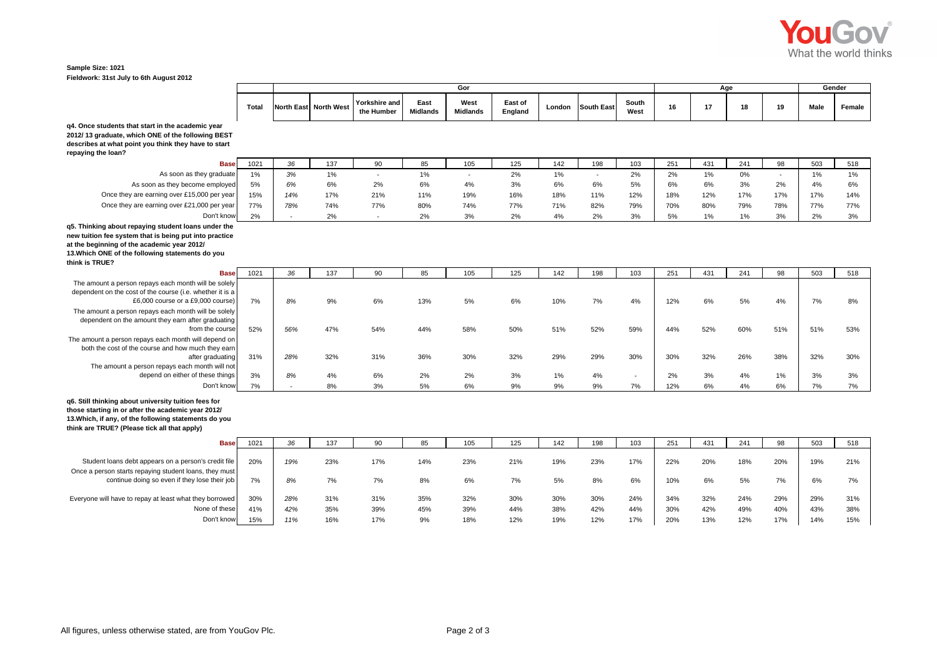

**West Midlands East of England London South East South West <sup>16</sup> <sup>17</sup> <sup>18</sup> <sup>19</sup> Male Female**

*3%* 1% - 1% - 2% 1% - 2% 2% 1% 0% - 1% 1%

*6%* 6% 2% 6% 4% 3% 6% 6% 5% 6% 6% 3% 2% 4% 6%

*14%* 17% 21% 11% 19% 16% 18% 11% 12% 18% 12% 17% 17% 17% 14%

*78%* 74% 77% 80% 74% 77% 71% 82% 79% 70% 80% 79% 78% 77% 77%

*-* 2% - 2% 3% 2% 4% 2% 3% 5% 1% 1% 3% 2% 3%

**Age Gender**

## **Sample Size: 1021 Fieldwork: 31st July to 6th August 2012**

| q4. Once students that start in the academic year    |
|------------------------------------------------------|
| 2012/13 graduate, which ONE of the following BEST    |
| describes at what point you think they have to start |
| repaying the loan?                                   |
| <b>Base</b>                                          |

**e| 1**021 | 36 | 137 | 90 | 85 | 105 | 125 | 142 | 198 | 103 | 251 | 431 | 241 | 98 | 503 | 518 As soon as they graduate 1% As soon as they become employed 5% Once they are earning over £15,000 per year 15% Once they are earning over £21,000 per year 77% Don't know2%

**Total North East North West**

**Yorkshire and the Humber**

**East Midlands**

**Gor**

**q5. Thinking about repaying student loans under the** 

**new tuition fee system that is being put into practice at the beginning of the academic year 2012/** 

**13.Which ONE of the following statements do you** 

**think is TRUE?**

| <b>Base</b>                                                                                                                                            | 1021 | 36  | 137 | 90  | 85  | 105 | 125 | 142 | 198 | 103    | 251 | 431 | 241 | 98    | 503 | 518 |
|--------------------------------------------------------------------------------------------------------------------------------------------------------|------|-----|-----|-----|-----|-----|-----|-----|-----|--------|-----|-----|-----|-------|-----|-----|
| The amount a person repays each month will be solely<br>dependent on the cost of the course (i.e. whether it is a<br>£6,000 course or a £9,000 course) | 7%   | 8%  | 9%  | 6%  | 13% | 5%  | 6%  | 10% | 7%  | 4%     | 12% | 6%  | 5%  | 4%    | 7%  | 8%  |
| The amount a person repays each month will be solely<br>dependent on the amount they earn after graduating<br>from the course                          | 52%  | 56% | 47% | 54% | 44% | 58% | 50% | 51% | 52% | 59%    | 44% | 52% | 60% | 51%   | 51% | 53% |
| The amount a person repays each month will depend on<br>both the cost of the course and how much they earn<br>after graduating                         | 31%  | 28% | 32% | 31% | 36% | 30% | 32% | 29% | 29% | 30%    | 30% | 32% | 26% | 38%   | 32% | 30% |
| The amount a person repays each month will not<br>depend on either of these things                                                                     | 3%   | 8%  | 4%  | 6%  | 2%  | 2%  | 3%  | 1%  | 4%  | $\sim$ | 2%  | 3%  | 4%  | $1\%$ | 3%  | 3%  |
| Don't know                                                                                                                                             | 7%   |     | 8%  | 3%  | 5%  | 6%  | 9%  | 9%  | 9%  | 7%     | 12% | 6%  | 4%  | 6%    | 7%  | 7%  |
| q6. Still thinking about university tuition fees for<br>those starting in or after the academic year 2012/                                             |      |     |     |     |     |     |     |     |     |        |     |     |     |       |     |     |

**those starting in or after the academic year 2012/ 13.Which, if any, of the following statements do you think are TRUE? (Please tick all that apply)**

| <b>Base</b>                                             | 102' | <b>OC</b> | 137 |     | 85  | 105 | 125 | 142 | 198 | 103 | 251 | 431 | 241 | 98  | 503 | 518 |
|---------------------------------------------------------|------|-----------|-----|-----|-----|-----|-----|-----|-----|-----|-----|-----|-----|-----|-----|-----|
|                                                         |      |           |     |     |     |     |     |     |     |     |     |     |     |     |     |     |
| Student loans debt appears on a person's credit file    | 20%  | 19%       | 23% | 17% | 14% | 23% | 21% | 19% | 23% | 17% | 22% | 20% | 18% | 20% | 19% | 21% |
| Once a person starts repaying student loans, they must  |      |           |     |     |     |     |     |     |     |     |     |     |     |     |     |     |
| continue doing so even if they lose their job           | 7%   | 8%        | 7%  | 7%  | 8%  | 6%  | 7%  | 5%  | 8%  | 6%  | 10% | 6%  | 5%  | 7%  | 6%  |     |
|                                                         |      |           |     |     |     |     |     |     |     |     |     |     |     |     |     |     |
| Everyone will have to repay at least what they borrowed | 30%  | 28%       | 31% | 31% | 35% | 32% | 30% | 30% | 30% | 24% | 34% | 32% | 24% | 29% | 29% | 31% |
| None of these                                           | 41%  | 42%       | 35% | 39% | 45% | 39% | 44% | 38% | 42% | 44% | 30% | 42% | 49% | 40% | 43% | 38% |
| Don't know                                              | 15%  | 11%       | 16% | 17% | 9%  | 18% | 12% | 19% | 12% | 17% | 20% | 13% | 12% | 17% | 14% | 15% |